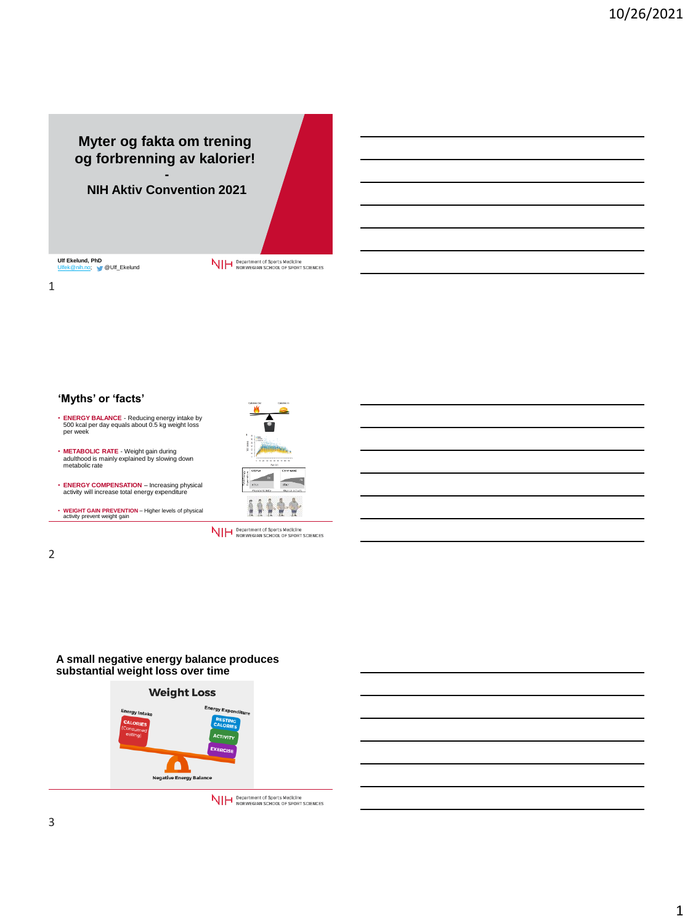# **Myter og fakta om trening og forbrenning av kalorier! -**

**NIH Aktiv Convention 2021**

**Ulf Ekelund, PhD<br><u>[Ulfek@nih.no;](mailto:Ulfek@nih.no)</u> N/** @Ulf\_Ekelund

NIH Department of Sports Medicine<br>NIH NORWEGIAN SCHOOL OF SPORT SCIENCES

1

**'Myths' or 'facts'**

- **ENERGY BALANCE**  Reducing energy intake by 500 kcal per day equals about 0.5 kg weight loss per week
- **METABOLIC RATE**  Weight gain during adulthood is mainly explained by slowing down metabolic rate
- **ENERGY COMPENSATION**  Increasing physical activity will increase total energy expenditure
- **WEIGHT GAIN PREVENTION**  Higher levels of physical activity prevent weight gain



NIH Department of Sports Medicine<br>NIH NORWEGIAN SCHOOL OF SPORT SCIENCES

2

## **A small negative energy balance produces substantial weight loss over time**



NIH Department of Sports Medicine<br>NIH NORWEGIAN SCHOOL OF SPORT SCIENCES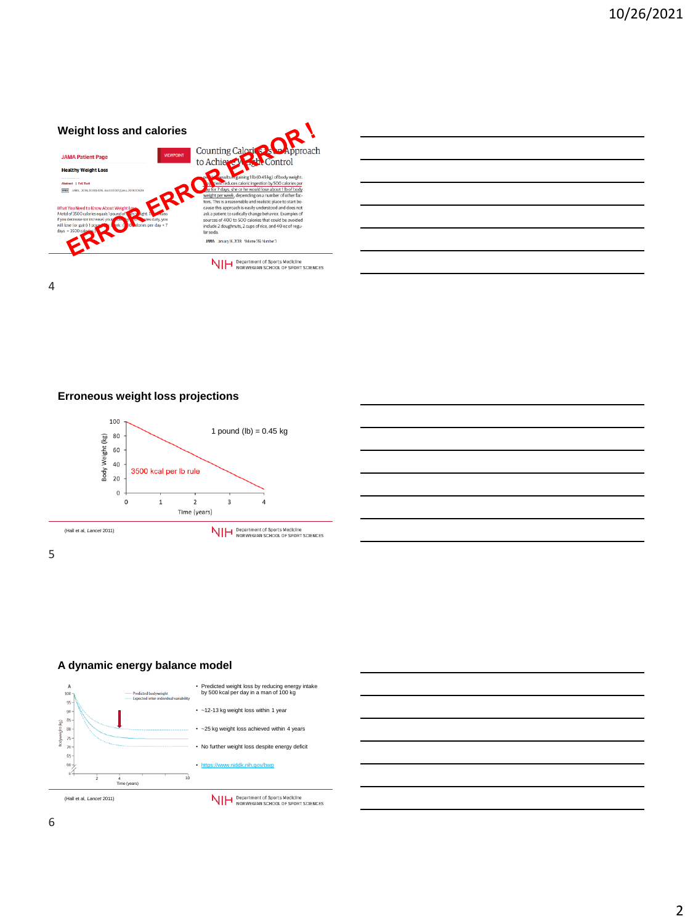

4

# **Erroneous weight loss projections**





# **A dynamic energy balance model**



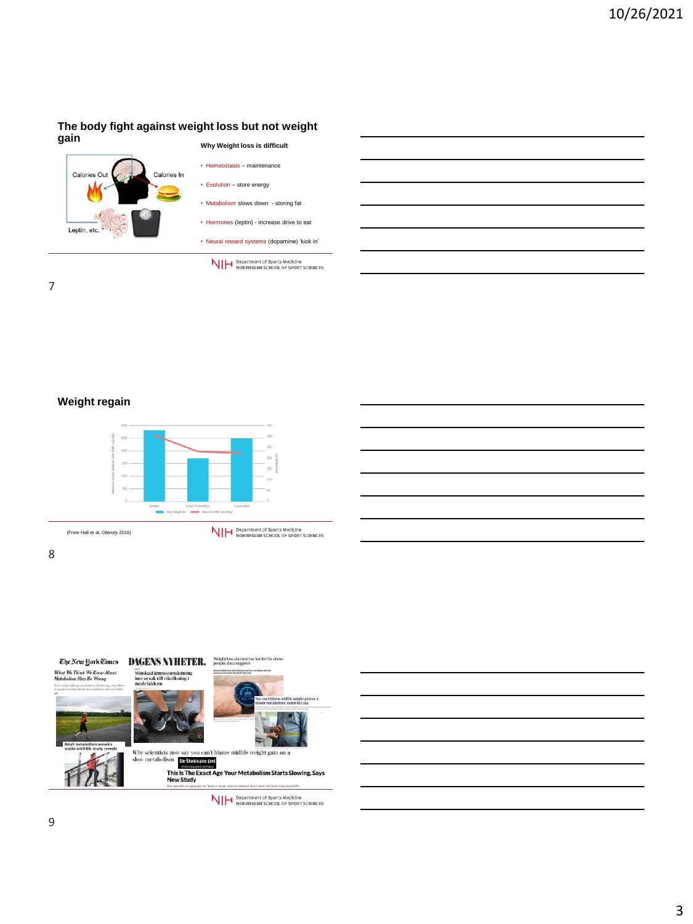# **The body fight against weight loss but not weight gain**



7

**Weight regain**



(From Hall et al, *Obesity* 2016)

NIH Department of Sports Medicine<br>NIH NORWEGIAN SCHOOL OF SPORT SCIENCES

8

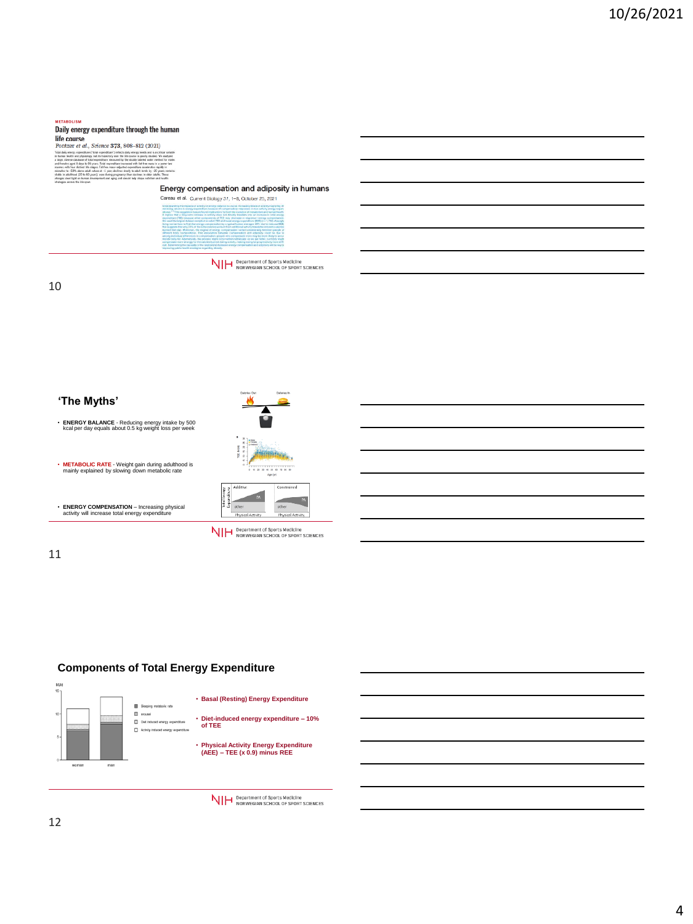#### **METABOLISM**

#### Daily energy expenditure through the human life course<br>Pontzer et al., Science 373, 808-812 (2021)

Total daily energy experience in human bootth and plus<br>a large, diverse distance and humans aged it day.<br>and humans aged it day.<br>moments with four distance contains in adult<br>boottles in daily start light on distance dista ) reflects daily energy needs and is a critical<br>seen the life course is poorly stadied. We are<br>sured by the doubly labeled notier method fo<br>fiture increased with fut free mass in a power

our construct and stages, material<br>Official political subsets at -1<br>read (20 to 60 years), even dight on human development a tek maso-adjusted expenditure accelerates rapidy in<br>1 year: declines slovely to adult lovels by –20 years; ren<br>during programsy: then declines in sider adults. These<br>and aging and uhoutd help shape nutrition and health



10

# **'The Myths'** • **ENERGY BALANCE** - Reducing energy intake by 500 kcal per day equals about 0.5 kg weight loss per week • **METABOLIC RATE** - Weight gain during adulthood is mainly explained by slowing down metabolic rate • **ENERGY COMPENSATION** – Increasing physical activity will increase total energy expenditure

# 



NIH Department of Sports Medicine<br>NIH NORWEGIAN SCHOOL OF SPORT SCIENCES

## 11

# **Components of Total Energy Expenditure**



NIH Department of Sports Medicine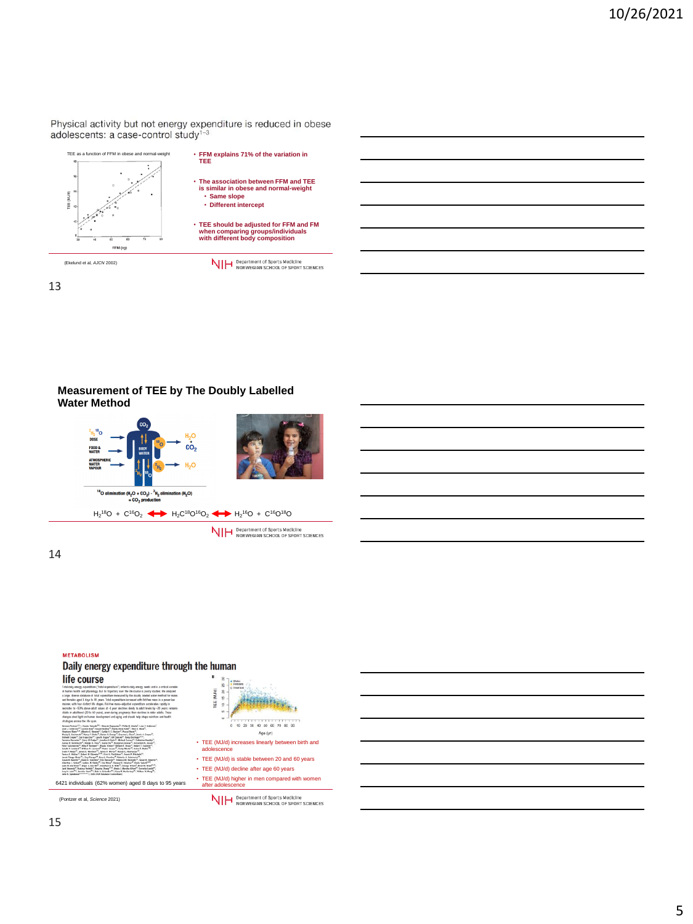Physical activity but not energy expenditure is reduced in obese adolescents: a case-control study<sup>1-3</sup>



13

# **Measurement of TEE by The Doubly Labelled Water Method**



**NIH** Department of Sports Medicine<br>NIH NORWEGIAN SCHOOL OF SPORT SCIENCES

14

#### **METABOLISM**

# Daily energy expenditure through the human



(Pontzer et al, *Science* 2021)

0 15 20 . . . . . . . 40 50 60 Age (yr) • TEE (MJ/d) increases linearly between birth and adolescence

- TEE (MJ/d) is stable between 20 and 60 years
- TEE (MJ/d) decline after age 60 years
- TEE (MJ/d) higher in men compared with women

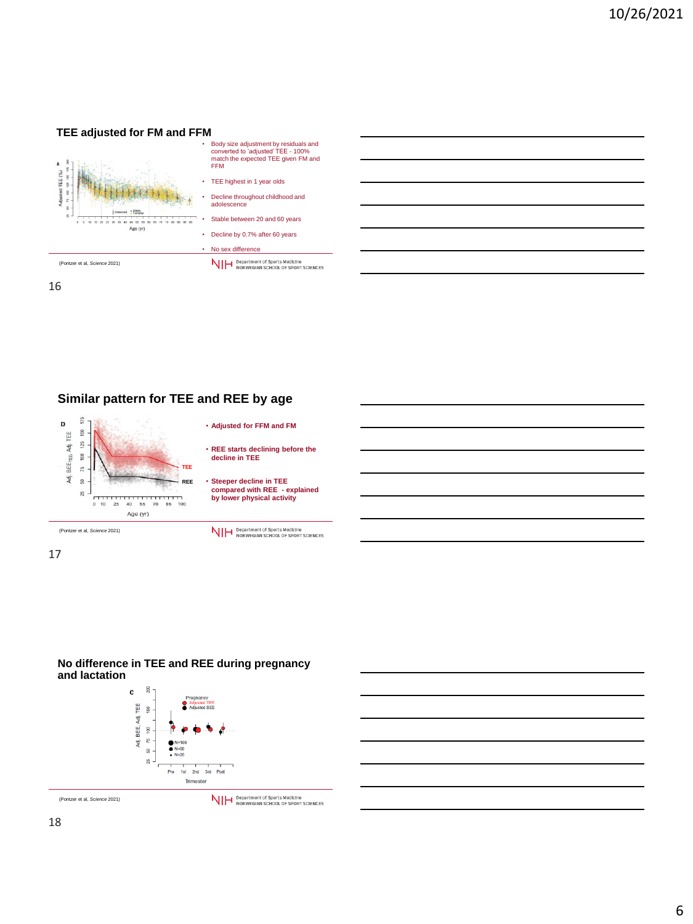## **TEE adjusted for FM and FFM**



16

# **Similar pattern for TEE and REE by age**



17



## **No difference in TEE and REE during pregnancy and lactation**



(Pontzer et al, *Science* 2021)

NIH Department of Sports Medicine<br>NIH NORWEGIAN SCHOOL OF SPORT SCIENCES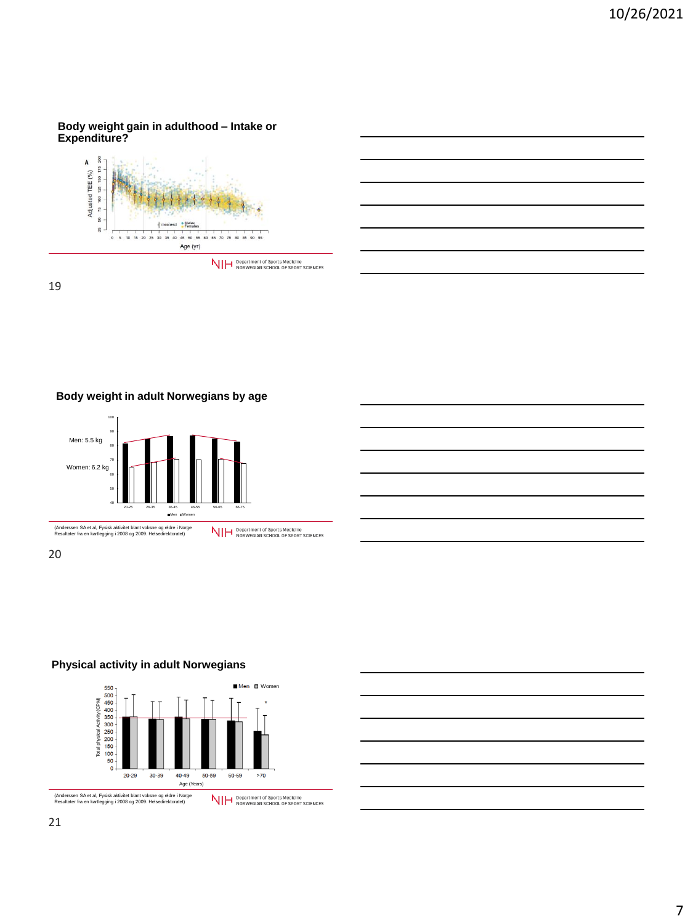## **Body weight gain in adulthood – Intake or Expenditure?**



19

**Body weight in adult Norwegians by age**





# **Physical activity in adult Norwegians**



7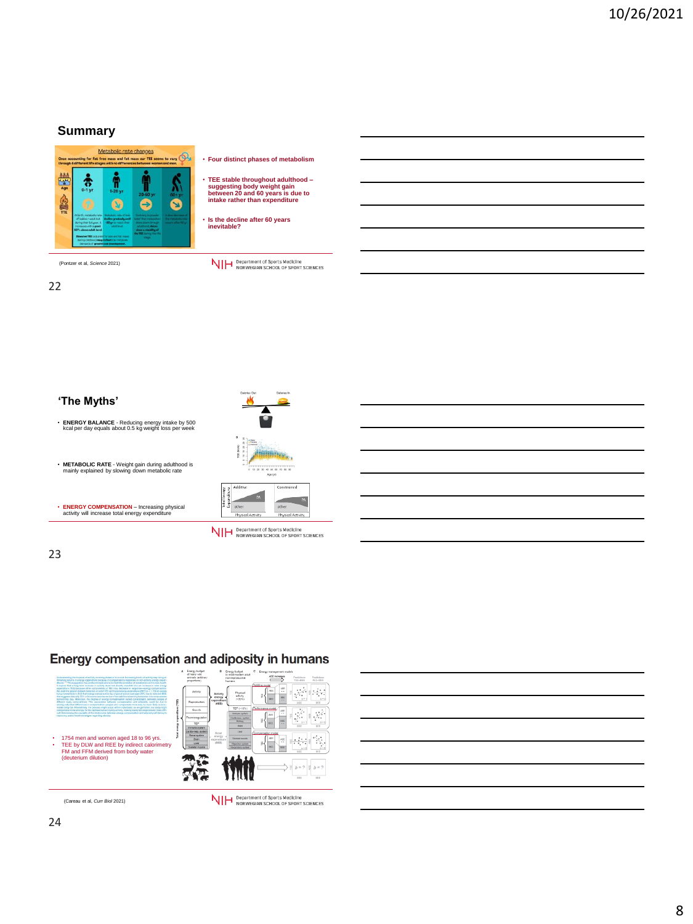# **Summary**



(Pontzer et al, *Science* 2021)

22

- **Four distinct phases of metabolism**
- **TEE stable throughout adulthood – suggesting body weight gain between 20 and 60 years is due to intake rather than expenditure**

• **Is the decline after 60 years inevitable?** 

NIH Department of Sports Medicine<br>NIH NORWEGIAN SCHOOL OF SPORT SCIENCES

# • **ENERGY BALANCE** - Reducing energy intake by 500 kcal per day equals about 0.5 kg weight loss per week

**'The Myths'**

 $70 80 90$ 

• **ENERGY COMPENSATION** – Increasing physical activity will increase total energy expenditure

• **METABOLIC RATE** - Weight gain during adulthood is mainly explained by slowing down metabolic rate



NIH Department of Sports Medicine<br>NIH NORWEGIAN SCHOOL OF SPORT SCIENCES

# 23

# Energy compensation and adiposity in humans



(Careau et al, *Curr Biol* 2021)

NIH Department of Sports Medicine<br>NIH NORWEGIAN SCHOOL OF SPORT SCIENCES

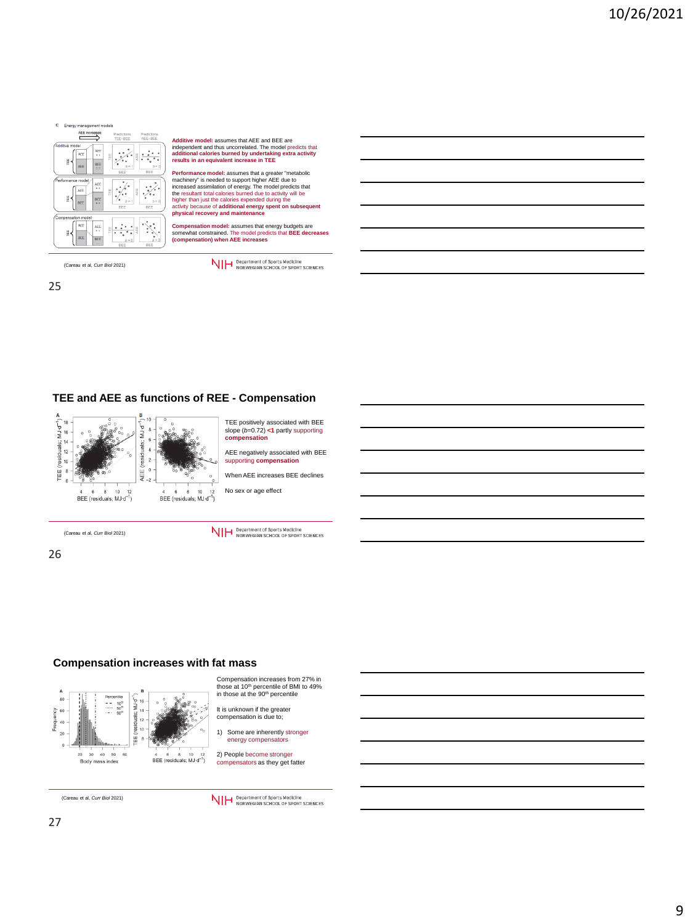

Additive model: assumes that AEE and BEE are<br>independent and thus uncorrelated. The model predicts that<br>additional calories burned by undertaking extra activity<br>results in an equivalent increase in TEE

Performance model: assumes that a greater "metabolic<br>machinery" is needed to support higher AEE due to<br>increased assimilation of energy. The model predicts that<br>the resultant total calories burned due to activity will be<br>h

**Compensation model:** assumes that energy budgets are somewhat constrained. The model predicts that **BEE decreases (compensation) when AEE increases**

(Careau et al, *Curr Biol* 2021)

25

NIH Department of Sports Medicine<br>NIH NORWEGIAN SCHOOL OF SPORT SCIENCES

# **TEE and AEE as functions of REE - Compensation**



TEE positively associated with BEE slope (*b*=0.72) **<1** partly supporting **compensation**

AEE negatively associated with BEE supporting **compensation**

When AEE increases BEE declines

No sex or age effect

(Careau et al, *Curr Biol* 2021)

26



# **Compensation increases with fat mass**



Compensation increases from 27% in those at 10<sup>th</sup> percentile of BMI to 49%<br>in those at the 90<sup>th</sup> percentile

It is unknown if the greater compensation is due to;

1) Some are inherently stronger energy compensators

2) People become stronger compensators as they get fatter

(Careau et al, *Curr Biol* 2021)

NIH Department of Sports Medicine